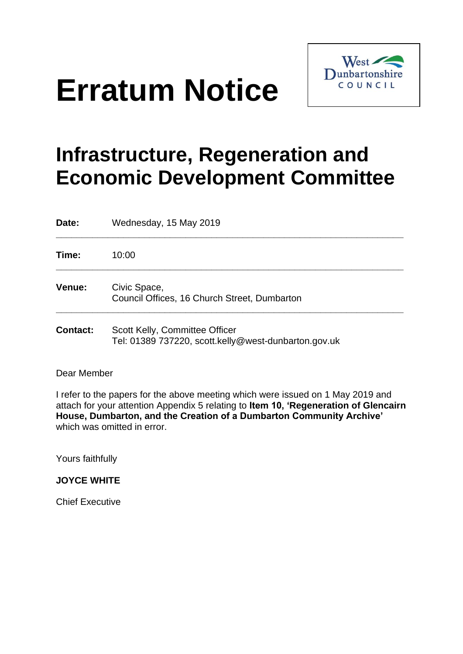## **Erratum Notice**



## **Infrastructure, Regeneration and Economic Development Committee**

| Date:           | Wednesday, 15 May 2019                                                                 |
|-----------------|----------------------------------------------------------------------------------------|
| Time:           | 10:00                                                                                  |
| Venue:          | Civic Space,<br>Council Offices, 16 Church Street, Dumbarton                           |
| <b>Contact:</b> | Scott Kelly, Committee Officer<br>Tel: 01389 737220, scott.kelly@west-dunbarton.gov.uk |

Dear Member

I refer to the papers for the above meeting which were issued on 1 May 2019 and attach for your attention Appendix 5 relating to **Item 10, 'Regeneration of Glencairn House, Dumbarton, and the Creation of a Dumbarton Community Archive'** which was omitted in error.

Yours faithfully

**JOYCE WHITE**

Chief Executive